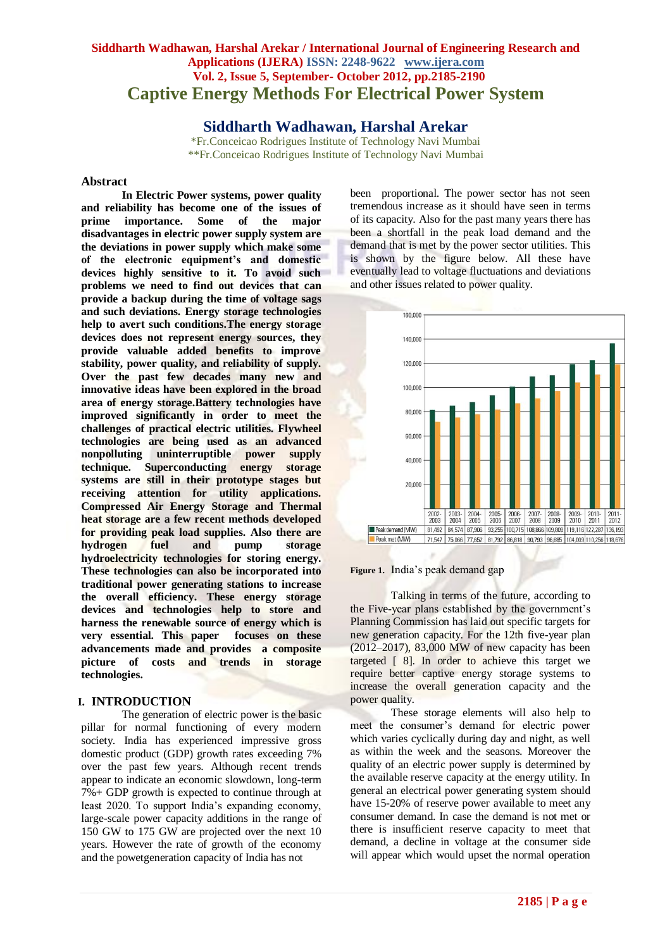# **Siddharth Wadhawan, Harshal Arekar / International Journal of Engineering Research and Applications (IJERA) ISSN: 2248-9622 www.ijera.com Vol. 2, Issue 5, September- October 2012, pp.2185-2190 Captive Energy Methods For Electrical Power System**

**Siddharth Wadhawan, Harshal Arekar**

\*Fr.Conceicao Rodrigues Institute of Technology Navi Mumbai \*\*Fr.Conceicao Rodrigues Institute of Technology Navi Mumbai

#### **Abstract**

**In Electric Power systems, power quality and reliability has become one of the issues of prime importance. Some of the major disadvantages in electric power supply system are the deviations in power supply which make some of the electronic equipment's and domestic devices highly sensitive to it. To avoid such problems we need to find out devices that can provide a backup during the time of voltage sags and such deviations. Energy storage technologies help to avert such conditions.The energy storage devices does not represent energy sources, they provide valuable added benefits to improve stability, power quality, and reliability of supply. Over the past few decades many new and innovative ideas have been explored in the broad area of energy storage.Battery technologies have improved significantly in order to meet the challenges of practical electric utilities. Flywheel technologies are being used as an advanced nonpolluting uninterruptible power supply technique. Superconducting energy storage systems are still in their prototype stages but receiving attention for utility applications. Compressed Air Energy Storage and Thermal heat storage are a few recent methods developed for providing peak load supplies. Also there are hydrogen fuel and pump storage hydroelectricity technologies for storing energy. These technologies can also be incorporated into traditional power generating stations to increase the overall efficiency. These energy storage devices and technologies help to store and harness the renewable source of energy which is very essential. This paper focuses on these advancements made and provides a composite picture of costs and trends in storage technologies.**

#### **I. INTRODUCTION**

The generation of electric power is the basic pillar for normal functioning of every modern society. India has experienced impressive gross domestic product (GDP) growth rates exceeding 7% over the past few years. Although recent trends appear to indicate an economic slowdown, long-term 7%+ GDP growth is expected to continue through at least 2020. To support India's expanding economy, large-scale power capacity additions in the range of 150 GW to 175 GW are projected over the next 10 years. However the rate of growth of the economy and the powetgeneration capacity of India has not

been proportional. The power sector has not seen tremendous increase as it should have seen in terms of its capacity. Also for the past many years there has been a shortfall in the peak load demand and the demand that is met by the power sector utilities. This is shown by the figure below. All these have eventually lead to voltage fluctuations and deviations and other issues related to power quality.





Talking in terms of the future, according to the Five-year plans established by the government's Planning Commission has laid out specific targets for new generation capacity. For the 12th five-year plan (2012–2017), 83,000 MW of new capacity has been targeted [ 8]. In order to achieve this target we require better captive energy storage systems to increase the overall generation capacity and the power quality.

These storage elements will also help to meet the consumer's demand for electric power which varies cyclically during day and night, as well as within the week and the seasons. Moreover the quality of an electric power supply is determined by the available reserve capacity at the energy utility. In general an electrical power generating system should have 15-20% of reserve power available to meet any consumer demand. In case the demand is not met or there is insufficient reserve capacity to meet that demand, a decline in voltage at the consumer side will appear which would upset the normal operation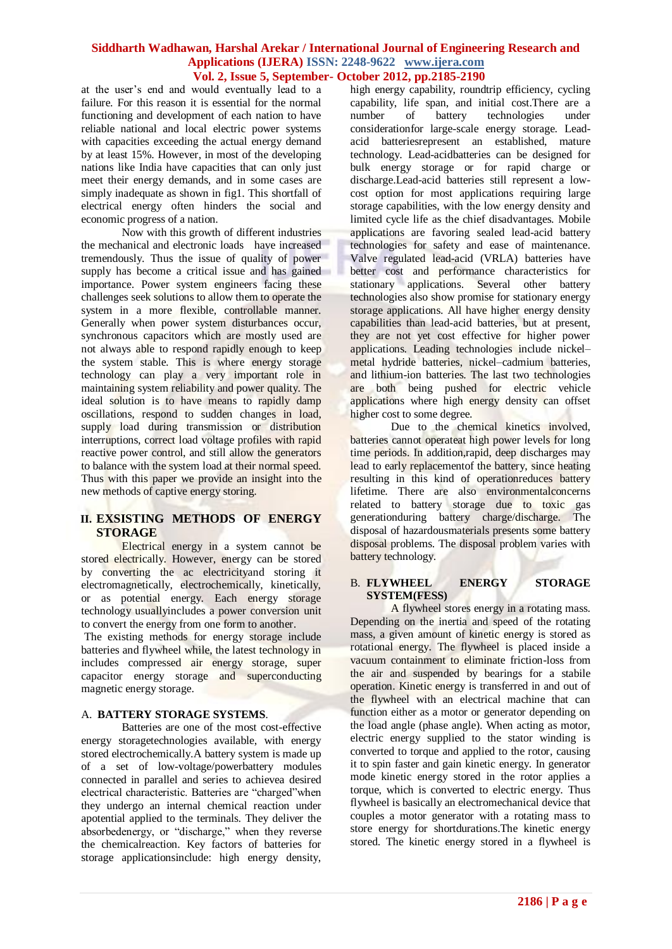at the user's end and would eventually lead to a failure. For this reason it is essential for the normal functioning and development of each nation to have reliable national and local electric power systems with capacities exceeding the actual energy demand by at least 15%. However, in most of the developing nations like India have capacities that can only just meet their energy demands, and in some cases are simply inadequate as shown in fig1. This shortfall of electrical energy often hinders the social and economic progress of a nation.

Now with this growth of different industries the mechanical and electronic loads have increased tremendously. Thus the issue of quality of power supply has become a critical issue and has gained importance. Power system engineers facing these challenges seek solutions to allow them to operate the system in a more flexible, controllable manner. Generally when power system disturbances occur, synchronous capacitors which are mostly used are not always able to respond rapidly enough to keep the system stable. This is where energy storage technology can play a very important role in maintaining system reliability and power quality. The ideal solution is to have means to rapidly damp oscillations, respond to sudden changes in load, supply load during transmission or distribution interruptions, correct load voltage profiles with rapid reactive power control, and still allow the generators to balance with the system load at their normal speed. Thus with this paper we provide an insight into the new methods of captive energy storing.

# **II. EXSISTING METHODS OF ENERGY STORAGE**

Electrical energy in a system cannot be stored electrically. However, energy can be stored by converting the ac electricityand storing it electromagnetically, electrochemically, kinetically, or as potential energy. Each energy storage technology usuallyincludes a power conversion unit to convert the energy from one form to another.

The existing methods for energy storage include batteries and flywheel while, the latest technology in includes compressed air energy storage, super capacitor energy storage and superconducting magnetic energy storage.

#### A. **BATTERY STORAGE SYSTEMS***.*

Batteries are one of the most cost-effective energy storagetechnologies available, with energy stored electrochemically.A battery system is made up of a set of low-voltage/powerbattery modules connected in parallel and series to achievea desired electrical characteristic. Batteries are "charged"when they undergo an internal chemical reaction under apotential applied to the terminals. They deliver the absorbedenergy, or "discharge," when they reverse the chemicalreaction. Key factors of batteries for storage applicationsinclude: high energy density,

high energy capability, roundtrip efficiency, cycling capability, life span, and initial cost.There are a number of battery technologies under considerationfor large-scale energy storage. Leadacid batteriesrepresent an established, mature technology. Lead-acidbatteries can be designed for bulk energy storage or for rapid charge or discharge.Lead-acid batteries still represent a lowcost option for most applications requiring large storage capabilities, with the low energy density and limited cycle life as the chief disadvantages. Mobile applications are favoring sealed lead-acid battery technologies for safety and ease of maintenance. Valve regulated lead-acid (VRLA) batteries have better cost and performance characteristics for stationary applications. Several other battery technologies also show promise for stationary energy storage applications. All have higher energy density capabilities than lead-acid batteries, but at present, they are not yet cost effective for higher power applications. Leading technologies include nickel– metal hydride batteries, nickel–cadmium batteries, and lithium-ion batteries. The last two technologies are both being pushed for electric vehicle applications where high energy density can offset higher cost to some degree.

Due to the chemical kinetics involved, batteries cannot operateat high power levels for long time periods. In addition,rapid, deep discharges may lead to early replacementof the battery, since heating resulting in this kind of operationreduces battery lifetime. There are also environmentalconcerns related to battery storage due to toxic gas generationduring battery charge/discharge. The disposal of hazardousmaterials presents some battery disposal problems. The disposal problem varies with battery technology.

#### B. **FLYWHEEL ENERGY STORAGE SYSTEM(FESS)**

A flywheel stores energy in a rotating mass. Depending on the inertia and speed of the rotating mass, a given amount of kinetic energy is stored as rotational energy. The flywheel is placed inside a vacuum containment to eliminate friction-loss from the air and suspended by bearings for a stabile operation. Kinetic energy is transferred in and out of the flywheel with an electrical machine that can function either as a motor or generator depending on the load angle (phase angle). When acting as motor, electric energy supplied to the stator winding is converted to torque and applied to the rotor, causing it to spin faster and gain kinetic energy. In generator mode kinetic energy stored in the rotor applies a torque, which is converted to electric energy. Thus flywheel is basically an electromechanical device that couples a motor generator with a rotating mass to store energy for shortdurations.The kinetic energy stored. The kinetic energy stored in a flywheel is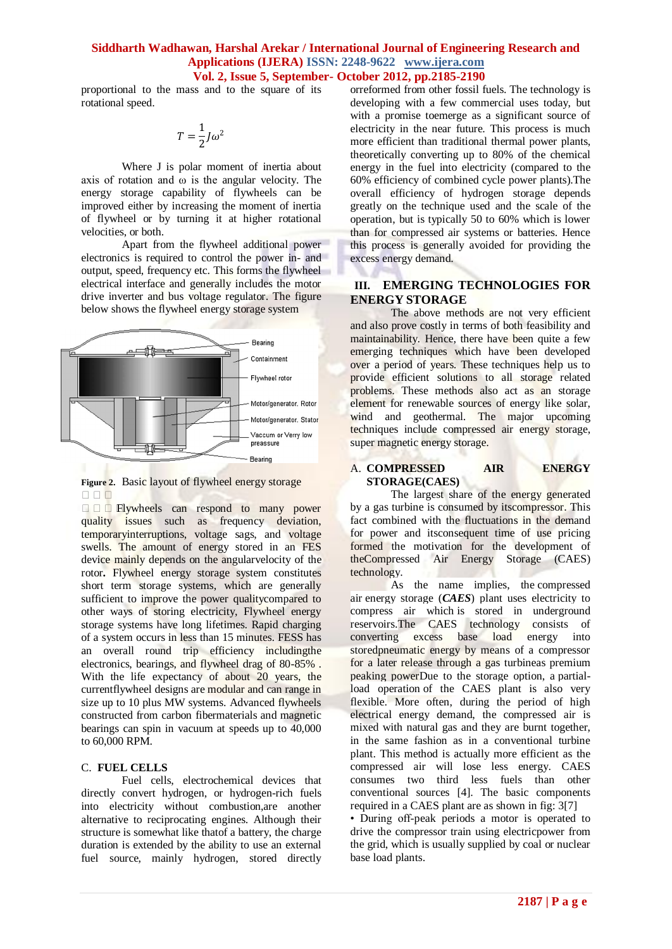proportional to the mass and to the square of its rotational speed.

$$
T=\frac{1}{2}J\omega^2
$$

Where J is polar moment of inertia about axis of rotation and  $\omega$  is the angular velocity. The energy storage capability of flywheels can be improved either by increasing the moment of inertia of flywheel or by turning it at higher rotational velocities, or both.

Apart from the flywheel additional power electronics is required to control the power in- and output, speed, frequency etc. This forms the flywheel electrical interface and generally includes the motor drive inverter and bus voltage regulator. The figure below shows the flywheel energy storage system





**Figure 1** Elywheels can respond to many power quality issues such as frequency deviation, temporaryinterruptions, voltage sags, and voltage swells. The amount of energy stored in an FES device mainly depends on the angularvelocity of the rotor**.** Flywheel energy storage system constitutes short term storage systems, which are generally sufficient to improve the power qualitycompared to other ways of storing electricity, Flywheel energy storage systems have long lifetimes. Rapid charging of a system occurs in less than 15 minutes. FESS has an overall round trip efficiency includingthe electronics, bearings, and flywheel drag of 80-85% . With the life expectancy of about 20 years, the currentflywheel designs are modular and can range in size up to 10 plus MW systems. Advanced flywheels constructed from carbon fibermaterials and magnetic bearings can spin in vacuum at speeds up to 40,000 to 60,000 RPM.

#### C. **FUEL CELLS**

Fuel cells, electrochemical devices that directly convert hydrogen, or hydrogen-rich fuels into electricity without combustion,are another alternative to reciprocating engines. Although their structure is somewhat like thatof a battery, the charge duration is extended by the ability to use an external fuel source, mainly hydrogen, stored directly orreformed from other fossil fuels. The technology is developing with a few commercial uses today, but with a promise toemerge as a significant source of electricity in the near future. This process is much more efficient than traditional thermal power plants, theoretically converting up to 80% of the chemical energy in the fuel into electricity (compared to the 60% efficiency of combined cycle power plants).The overall efficiency of hydrogen storage depends greatly on the technique used and the scale of the operation, but is typically 50 to 60% which is lower than for compressed air systems or batteries. Hence this process is generally avoided for providing the excess energy demand.

## **III. EMERGING TECHNOLOGIES FOR ENERGY STORAGE**

The above methods are not very efficient and also prove costly in terms of both feasibility and maintainability. Hence, there have been quite a few emerging techniques which have been developed over a period of years. These techniques help us to provide efficient solutions to all storage related problems. These methods also act as an storage element for renewable sources of energy like solar, wind and geothermal. The major upcoming techniques include compressed air energy storage, super magnetic energy storage.

#### A. **COMPRESSED AIR ENERGY STORAGE(CAES)**

The largest share of the energy generated by a gas turbine is consumed by itscompressor. This fact combined with the fluctuations in the demand for power and itsconsequent time of use pricing formed the motivation for the development of theCompressed Air Energy Storage (CAES) technology.

As the name implies, the [compressed](http://electrical-engineering-portal.com/energy-efficency-in-hospitals-compressed-air-part-3)  [air](http://electrical-engineering-portal.com/energy-efficency-in-hospitals-compressed-air-part-3) energy storage (*CAES*) plant uses electricity to compress air which is stored in underground reservoirs.The CAES technology consists of converting excess base load energy into storedpneumatic energy by means of a compressor for a later release through a gas turbineas premium peaking powerDue to the storage option, a partialload operation of the CAES plant is also very flexible. More often, during the period of high electrical energy demand, the compressed air is mixed with natural gas and they are burnt together, in the same fashion as in a conventional turbine plant. This method is actually more efficient as the compressed air will lose less energy. CAES consumes two third less fuels than other conventional sources [4]. The basic components required in a CAES plant are as shown in fig: 3[7]

• During off-peak periods a motor is operated to drive the compressor train using electricpower from the grid, which is usually supplied by coal or nuclear base load plants.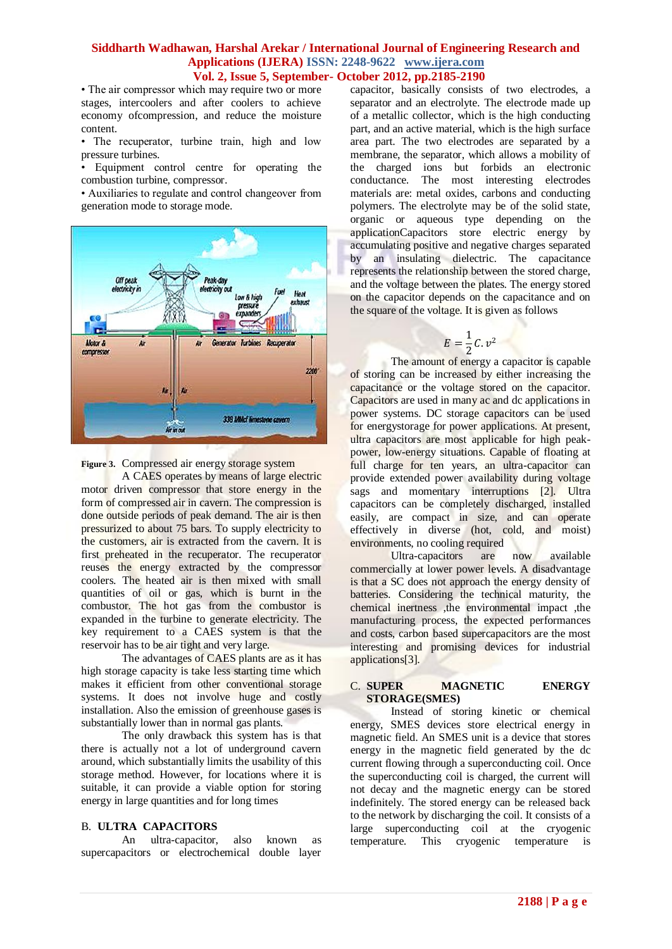• The air compressor which may require two or more stages, intercoolers and after coolers to achieve economy ofcompression, and reduce the moisture content.

• The recuperator, turbine train, high and low pressure turbines.

• Equipment control centre for operating the combustion turbine, compressor.

• Auxiliaries to regulate and control changeover from generation mode to storage mode.



**Figure 3.** Compressed air energy storage system

A CAES operates by means of large electric motor driven compressor that store energy in the form of compressed air in cavern. The compression is done outside periods of peak demand. The air is then pressurized to about 75 bars. To supply electricity to the customers, air is extracted from the cavern. It is first preheated in the recuperator. The recuperator reuses the energy extracted by the compressor coolers. The heated air is then mixed with small quantities of oil or gas, which is burnt in the combustor. The hot gas from the combustor is expanded in the turbine to generate electricity. The key requirement to a CAES system is that the reservoir has to be air tight and very large.

The advantages of CAES plants are as it has high storage capacity is take less starting time which makes it efficient from other conventional storage systems. It does not involve huge and costly installation. Also the emission of greenhouse gases is substantially lower than in normal gas plants.

The only drawback this system has is that there is actually not a lot of underground cavern around, which substantially limits the usability of this storage method. However, for locations where it is suitable, it can provide a viable option for storing energy in large quantities and for long times

#### B. **ULTRA CAPACITORS**

An ultra-capacitor, also known as supercapacitors or electrochemical double layer capacitor, basically consists of two electrodes, a separator and an electrolyte. The electrode made up of a metallic collector, which is the high conducting part, and an active material, which is the high surface area part. The two electrodes are separated by a membrane, the separator, which allows a mobility of the charged ions but forbids an electronic conductance. The most interesting electrodes materials are: metal oxides, carbons and conducting polymers. The electrolyte may be of the solid state, organic or aqueous type depending on the applicationCapacitors store electric energy by accumulating positive and negative charges separated by an insulating dielectric. The capacitance represents the relationship between the stored charge, and the voltage between the plates. The energy stored on the capacitor depends on the capacitance and on the square of the voltage. It is given as follows

$$
E=\frac{1}{2}C.v^2
$$

The amount of energy a capacitor is capable of storing can be increased by either increasing the capacitance or the voltage stored on the capacitor. Capacitors are used in many ac and dc applications in power systems. DC storage capacitors can be used for energystorage for power applications. At present, ultra capacitors are most applicable for high peakpower, low-energy situations. Capable of floating at full charge for ten years, an ultra-capacitor can provide extended power availability during voltage sags and momentary interruptions [2]. Ultra capacitors can be completely discharged, installed easily, are compact in size, and can operate effectively in diverse (hot, cold, and moist) environments, no cooling required

Ultra-capacitors are now available commercially at lower power levels. A disadvantage is that a SC does not approach the energy density of batteries. Considering the technical maturity, the chemical inertness ,the environmental impact ,the manufacturing process, the expected performances and costs, carbon based supercapacitors are the most interesting and promising devices for industrial applications[3].

#### C. **SUPER MAGNETIC ENERGY STORAGE(SMES)**

Instead of storing kinetic or chemical energy, SMES devices store electrical energy in magnetic field. An SMES unit is a device that stores energy in the magnetic field generated by the dc current flowing through a superconducting coil. Once the superconducting coil is charged, the current will not decay and the magnetic energy can be stored indefinitely. The stored energy can be released back to the network by discharging the coil. It consists of a large superconducting coil at the cryogenic temperature. This cryogenic temperature is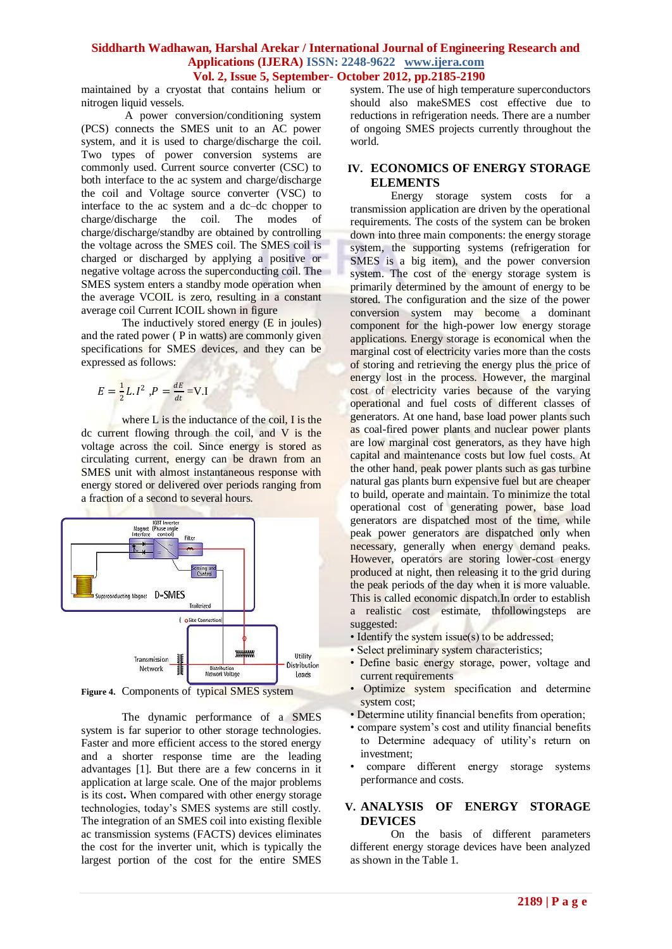maintained by a cryostat that contains helium or nitrogen liquid vessels.

 A power conversion/conditioning system (PCS) connects the SMES unit to an AC power system, and it is used to charge/discharge the coil. Two types of power conversion systems are commonly used. Current source converter (CSC) to both interface to the ac system and charge/discharge the coil and Voltage source converter (VSC) to interface to the ac system and a dc–dc chopper to charge/discharge the coil. The modes of charge/discharge/standby are obtained by controlling the voltage across the SMES coil. The SMES coil is charged or discharged by applying a positive or negative voltage across the superconducting coil. The SMES system enters a standby mode operation when the average VCOIL is zero, resulting in a constant average coil Current ICOIL shown in figure

The inductively stored energy (E in joules) and the rated power ( P in watts) are commonly given specifications for SMES devices, and they can be expressed as follows:

$$
E = \frac{1}{2}L.I^2, P = \frac{dE}{dt} = V.I
$$

where L is the inductance of the coil, I is the dc current flowing through the coil, and V is the voltage across the coil. Since energy is stored as circulating current, energy can be drawn from an SMES unit with almost instantaneous response with energy stored or delivered over periods ranging from a fraction of a second to several hours.



**Figure 4.** Components of typical SMES system

The dynamic performance of a SMES system is far superior to other storage technologies. Faster and more efficient access to the stored energy and a shorter response time are the leading advantages [1]. But there are a few concerns in it application at large scale. One of the major problems is its cost**.** When compared with other energy storage technologies, today's SMES systems are still costly. The integration of an SMES coil into existing flexible ac transmission systems (FACTS) devices eliminates the cost for the inverter unit, which is typically the largest portion of the cost for the entire SMES

system. The use of high temperature superconductors should also makeSMES cost effective due to reductions in refrigeration needs. There are a number of ongoing SMES projects currently throughout the world.

# **IV. ECONOMICS OF ENERGY STORAGE ELEMENTS**

Energy storage system costs for a transmission application are driven by the operational requirements. The costs of the system can be broken down into three main components: the energy storage system, the supporting systems (refrigeration for SMES is a big item), and the power conversion system. The cost of the energy storage system is primarily determined by the amount of energy to be stored. The configuration and the size of the power conversion system may become a dominant component for the high-power low energy storage applications. Energy storage is economical when the marginal cost of electricity varies more than the costs of storing and retrieving the energy plus the price of energy lost in the process. However, the marginal cost of electricity varies because of the varying operational and fuel costs of different classes of generators. At one hand, base load power plants such as coal-fired power plants and nuclear power plants are low marginal cost generators, as they have high capital and maintenance costs but low fuel costs. At the other hand, peak power plants such as gas turbine natural gas plants burn expensive fuel but are cheaper to build, operate and maintain. To minimize the total operational cost of generating power, base load generators are dispatched most of the time, while peak power generators are dispatched only when necessary, generally when energy demand peaks. However, operators are storing lower-cost energy produced at night, then releasing it to the grid during the peak periods of the day when it is more valuable. This is called economic dispatch.In order to establish a realistic cost estimate, thfollowingsteps are suggested:

- Identify the system issue(s) to be addressed;
- Select preliminary system characteristics;
- Define basic energy storage, power, voltage and current requirements
- Optimize system specification and determine system cost;
- Determine utility financial benefits from operation;
- compare system's cost and utility financial benefits to Determine adequacy of utility's return on investment;
- compare different energy storage systems performance and costs.

# **V. ANALYSIS OF ENERGY STORAGE DEVICES**

On the basis of different parameters different energy storage devices have been analyzed as shown in the Table 1.